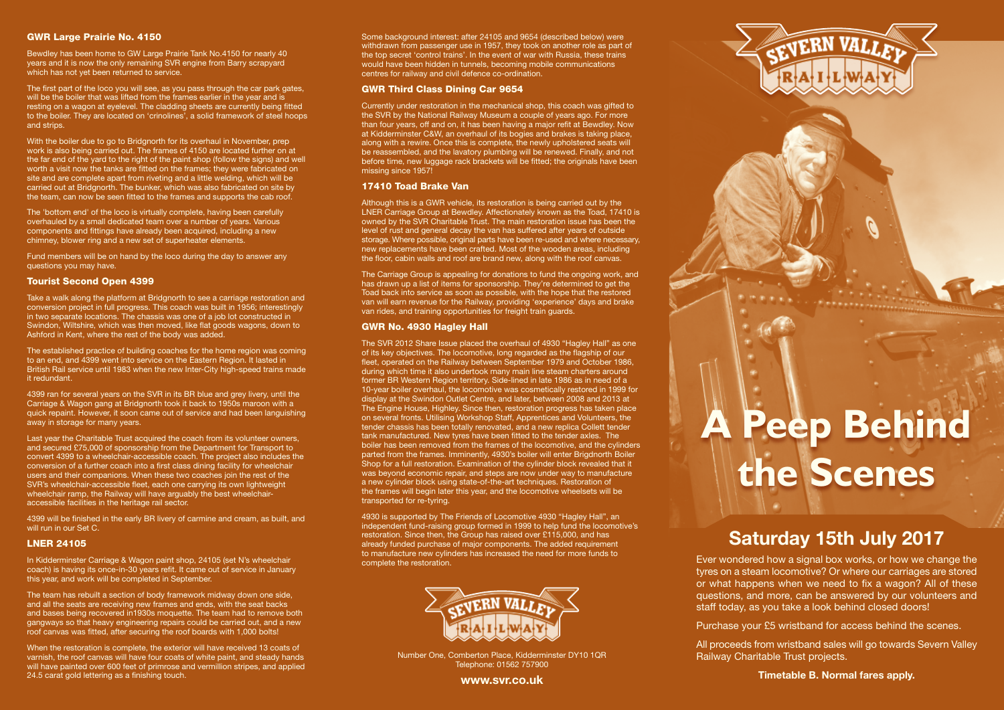## GWR Large Prairie No. 4150

Bewdley has been home to GW Large Prairie Tank No.4150 for nearly 40 years and it is now the only remaining SVR engine from Barry scrapyard which has not yet been returned to service.

The first part of the loco you will see, as you pass through the car park gates, will be the boiler that was lifted from the frames earlier in the year and is resting on a wagon at eyelevel. The cladding sheets are currently being fitted to the boiler. They are located on 'crinolines', a solid framework of steel hoops and strips.

With the boiler due to go to Bridgnorth for its overhaul in November, prep work is also being carried out. The frames of 4150 are located further on at the far end of the yard to the right of the paint shop (follow the signs) and well worth a visit now the tanks are fitted on the frames; they were fabricated on site and are complete apart from riveting and a little welding, which will be carried out at Bridgnorth. The bunker, which was also fabricated on site by the team, can now be seen fitted to the frames and supports the cab roof.

The 'bottom end' of the loco is virtually complete, having been carefully overhauled by a small dedicated team over a number of years. Various components and fittings have already been acquired, including a new chimney, blower ring and a new set of superheater elements.

Fund members will be on hand by the loco during the day to answer any questions you may have.

## Tourist Second Open 4399

Take a walk along the platform at Bridgnorth to see a carriage restoration and conversion project in full progress. This coach was built in 1956; interestingly<br>in two separate locations. The chassis was one of a job lot constructed in<br>Swindon, Wiltshire, which was then moved, like flat goods wagons, Ashford in Kent, where the rest of the body was added.

The established practice of building coaches for the home region was coming to an end, and 4399 went into service on the Eastern Region. It lasted in British Rail service until 1983 when the new Inter-City high-speed trains made it redundant.

4399 ran for several years on the SVR in its BR blue and grey livery, until the Carriage & Wagon gang at Bridgnorth took it back to 1950s maroon with a quick repaint. However, it soon came out of service and had been languishing away in storage for many years.

Last year the Charitable Trust acquired the coach from its volunteer owners, and secured £75,000 of sponsorship from the Department for Transport to convert 4399 to a wheelchair-accessible coach. The project also includes the conversion of a further coach into a first class dining facility for wheelchair users and their companions. When these two coaches join the rest of the SVR's wheelchair-accessible fleet, each one carrying its own lightweight wheelchair ramp, the Railway will have arguably the best wheelchairaccessible facilities in the heritage rail sector.

4399 will be finished in the early BR livery of carmine and cream, as built, and will run in our Set C.

### LNER 24105

In Kidderminster Carriage & Wagon paint shop, 24105 (set N's wheelchair coach) is having its once-in-30 years refit. It came out of service in January this year, and work will be completed in September.

The team has rebuilt a section of body framework midway down one side, and all the seats are receiving new frames and ends, with the seat backs and bases being recovered in1930s moquette. The team had to remove both gangways so that heavy engineering repairs could be carried out, and a new roof canvas was fitted, after securing the roof boards with 1,000 bolts!

When the restoration is complete, the exterior will have received 13 coats of varnish, the roof canvas will have four coats of white paint, and steady hands will have painted over 600 feet of primrose and vermillion stripes, and applied 24.5 carat gold lettering as a finishing touch.

Some background interest: after 24105 and 9654 (described below) were withdrawn from passenger use in 1957, they took on another role as part of the top secret 'control trains'. In the event of war with Russia, these trains would have been hidden in tunnels, becoming mobile communications centres for railway and civil defence co-ordination.

### GWR Third Class Dining Car 9654

Currently under restoration in the mechanical shop, this coach was gifted to the SVR by the National Railway Museum a couple of years ago. For more than four years, off and on, it has been having a major refit at Bewdley. Now at Kidderminster C&W, an overhaul of its bogies and brakes is taking place, along with a rewire. Once this is complete, the newly upholstered seats will be reassembled, and the lavatory plumbing will be renewed. Finally, and not before time, new luggage rack brackets will be fitted; the originals have been missing since 1957!

#### 17410 Toad Brake Van

Although this is a GWR vehicle, its restoration is being carried out by the LNER Carriage Group at Bewdley. Affectionately known as the Toad, 17410 is owned by the SVR Charitable Trust. The main restoration issue has been the level of rust and general decay the van has suffered after years of outside storage. Where possible, original parts have been re-used and where necessary, new replacements have been crafted. Most of the wooden areas, including the floor, cabin walls and roof are brand new, along with the roof canvas.

The Carriage Group is appealing for donations to fund the ongoing work, and has drawn up a list of items for sponsorship. They're determined to get the Toad back into service as soon as possible, with the hope that the restored van will earn revenue for the Railway, providing 'experience' days and brake van rides, and training opportunities for freight train guards.

## GWR No. 4930 Hagley Hall

The SVR 2012 Share Issue placed the overhaul of 4930 "Hagley Hall" as one of its key objectives. The locomotive, long regarded as the flagship of our fleet, operated on the Railway between September 1979 and October 1986, during which time it also undertook many main line steam charters around former BR Western Region territory. Side-lined in late 1986 as in need of a 10-year boiler overhaul, the locomotive was cosmetically restored in 1999 for display at the Swindon Outlet Centre, and later, between 2008 and 2013 at The Engine House, Highley. Since then, restoration progress has taken place on several fronts. Utilising Workshop Staff, Apprentices and Volunteers, the tender chassis has been totally renovated, and a new replica Collett tender tank manufactured. New tyres have been fitted to the tender axles. The boiler has been removed from the frames of the locomotive, and the cylinders parted from the frames. Imminently, 4930's boiler will enter Brigdnorth Boiler Shop for a full restoration. Examination of the cylinder block revealed that it was beyond economic repair, and steps are now under way to manufacture a new cylinder block using state-of-the-art techniques. Restoration of the frames will begin later this year, and the locomotive wheelsets will be transported for re-tyring.

4930 is supported by The Friends of Locomotive 4930 "Hagley Hall", an independent fund-raising group formed in 1999 to help fund the locomotive's restoration. Since then, the Group has raised over £115,000, and has already funded purchase of major components. The added requirement to manufacture new cylinders has increased the need for more funds to complete the restoration.



Number One, Comberton Place, Kidderminster DY10 1QR Telephone: 01562 757900

www.svr.co.uk

# **A Peep Behind the Scenes**

# Saturday 15th July 2017

Ever wondered how a signal box works, or how we change the tyres on a steam locomotive? Or where our carriages are stored or what happens when we need to fix a wagon? All of these questions, and more, can be answered by our volunteers and staff today, as you take a look behind closed doors!

Purchase your £5 wristband for access behind the scenes.

All proceeds from wristband sales will go towards Severn Valley Railway Charitable Trust projects.

Timetable B. Normal fares apply.